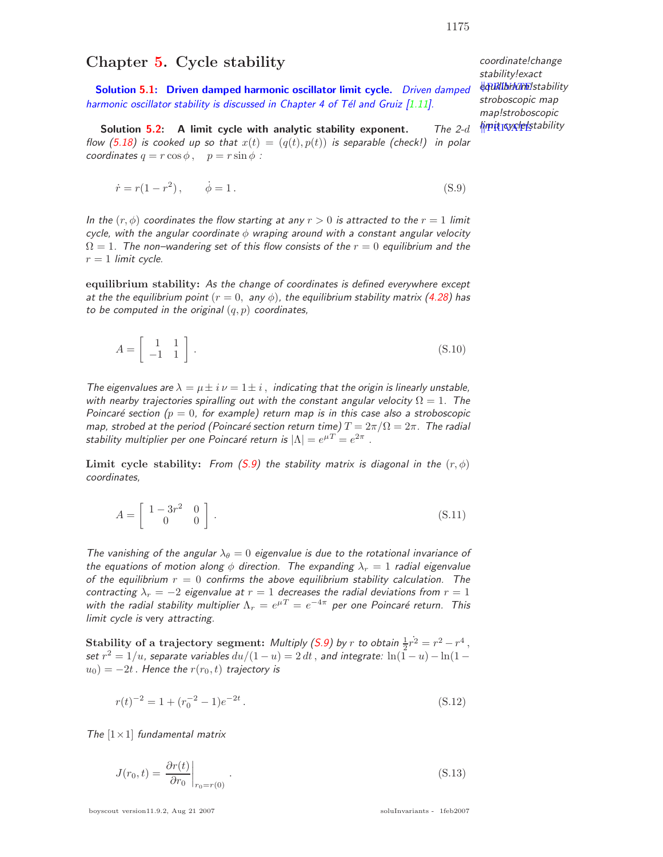## **Chapter 5. Cycle stability**

**Solution 5.1: Driven damped harmonic oscillator limit cycle.** Driven damped harmonic oscillator stability is discussed in Chapter 4 of Tél and Gruiz  $[1.11]$ .

**Solution 5.2:** A limit cycle with analytic stability exponent. The 2-d flow (5.18) is cooked up so that  $x(t)=(q(t), p(t))$  is separable (check!) in polar coordinates  $q = r \cos \phi$ ,  $p = r \sin \phi$ :

$$
\dot{r} = r(1 - r^2), \qquad \dot{\phi} = 1. \tag{S.9}
$$

In the  $(r, \phi)$  coordinates the flow starting at any  $r > 0$  is attracted to the  $r = 1$  limit cycle, with the angular coordinate  $\phi$  wraping around with a constant angular velocity  $\Omega=1$ . The non–wandering set of this flow consists of the  $r=0$  equilibrium and the  $r = 1$  limit cycle.

**equilibrium stability:** As the change of coordinates is defined everywhere except at the the equilibrium point  $(r = 0, \text{ any } \phi)$ , the equilibrium stability matrix (4.28) has to be computed in the original  $(q, p)$  coordinates,

$$
A = \left[ \begin{array}{cc} 1 & 1 \\ -1 & 1 \end{array} \right]. \tag{S.10}
$$

The eigenvalues are  $\lambda = \mu \pm i \nu = 1 \pm i$ , indicating that the origin is linearly unstable, with nearby trajectories spiralling out with the constant angular velocity  $\Omega=1$ . The Poincaré section ( $p = 0$ , for example) return map is in this case also a stroboscopic map, strobed at the period (Poincaré section return time)  $T = 2\pi/\Omega = 2\pi$ . The radial stability multiplier per one Poincaré return is  $|\Lambda| = e^{\mu T} = e^{2\pi}$ .

**Limit cycle stability:** From (S.9) the stability matrix is diagonal in the  $(r, \phi)$ coordinates,

$$
A = \left[ \begin{array}{cc} 1 - 3r^2 & 0 \\ 0 & 0 \end{array} \right].
$$
\n
$$
(S.11)
$$

The vanishing of the angular  $\lambda_{\theta} = 0$  eigenvalue is due to the rotational invariance of the equations of motion along  $\phi$  direction. The expanding  $\lambda_r = 1$  radial eigenvalue of the equilibrium  $r = 0$  confirms the above equilibrium stability calculation. The contracting  $\lambda_r = -2$  eigenvalue at  $r = 1$  decreases the radial deviations from  $r = 1$ with the radial stability multiplier  $\Lambda_r = e^{\mu T} = e^{-4\pi}$  per one Poincaré return. This limit cycle is very attracting.

**Stability of a trajectory segment:** Multiply (S.9) by r to obtain  $\frac{1}{2}r^2 = r^2 - r^4$ , set  $r^2 = 1/u$ , separate variables  $du/(1-u)=2 dt$  , and integrate:  $\ln(\tilde{1}-u) - \ln(1-t)$  $u_0$ ) =  $-2t$ . Hence the  $r(r_0, t)$  trajectory is

$$
r(t)^{-2} = 1 + (r_0^{-2} - 1)e^{-2t}.
$$
\n(S.12)

The  $[1 \times 1]$  fundamental matrix

$$
J(r_0, t) = \left. \frac{\partial r(t)}{\partial r_0} \right|_{r_0 = r(0)}.
$$
\n(S.13)

boyscout version11.9.2, Aug 21 2007 soluInvariants - 1feb2007

coordinate!change stability!exact **equilibraling** stability stroboscopic map map!stroboscopic limit cycle!stability